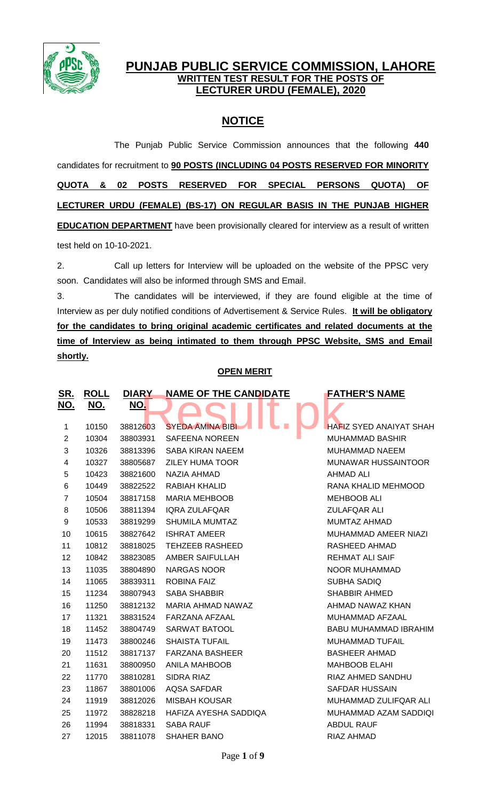

## **PUNJAB PUBLIC SERVICE COMMISSION, LAHORE WRITTEN TEST RESULT FOR THE POSTS OF LECTURER URDU (FEMALE), 2020**

# **NOTICE**

The Punjab Public Service Commission announces that the following **440** candidates for recruitment to **90 POSTS (INCLUDING 04 POSTS RESERVED FOR MINORITY QUOTA & 02 POSTS RESERVED FOR SPECIAL PERSONS QUOTA) OF LECTURER URDU (FEMALE) (BS-17) ON REGULAR BASIS IN THE PUNJAB HIGHER EDUCATION DEPARTMENT** have been provisionally cleared for interview as a result of written test held on 10-10-2021.

2. Call up letters for Interview will be uploaded on the website of the PPSC very soon. Candidates will also be informed through SMS and Email.

3. The candidates will be interviewed, if they are found eligible at the time of Interview as per duly notified conditions of Advertisement & Service Rules. **It will be obligatory for the candidates to bring original academic certificates and related documents at the time of Interview as being intimated to them through PPSC Website, SMS and Email shortly.**

### **OPEN MERIT**

| <u>SR.</u><br>NO. | <u>ROLL</u><br>NO. | <b>DIARY</b><br>NO. | <b>NAME OF THE CANDIDATE</b> | <b>FATHER'S NAME</b>           |
|-------------------|--------------------|---------------------|------------------------------|--------------------------------|
|                   |                    |                     |                              |                                |
| 1                 | 10150              | 38812603            | <b>SYEDA AMINA BIBI</b>      | <b>HAFIZ SYED ANAIYAT SHAH</b> |
| $\overline{2}$    | 10304              | 38803931            | <b>SAFEENA NOREEN</b>        | <b>MUHAMMAD BASHIR</b>         |
| 3                 | 10326              | 38813396            | <b>SABA KIRAN NAEEM</b>      | <b>MUHAMMAD NAEEM</b>          |
| $\overline{4}$    | 10327              | 38805687            | <b>ZILEY HUMA TOOR</b>       | <b>MUNAWAR HUSSAINTOOR</b>     |
| 5                 | 10423              | 38821600            | NAZIA AHMAD                  | <b>AHMAD ALI</b>               |
| 6                 | 10449              | 38822522            | RABIAH KHALID                | RANA KHALID MEHMOOD            |
| $\overline{7}$    | 10504              | 38817158            | <b>MARIA MEHBOOB</b>         | <b>MEHBOOB ALI</b>             |
| 8                 | 10506              | 38811394            | <b>IQRA ZULAFQAR</b>         | <b>ZULAFQAR ALI</b>            |
| 9                 | 10533              | 38819299            | <b>SHUMILA MUMTAZ</b>        | <b>MUMTAZ AHMAD</b>            |
| 10                | 10615              | 38827642            | <b>ISHRAT AMEER</b>          | MUHAMMAD AMEER NIAZI           |
| 11                | 10812              | 38818025            | <b>TEHZEEB RASHEED</b>       | RASHEED AHMAD                  |
| 12                | 10842              | 38823085            | AMBER SAIFULLAH              | <b>REHMAT ALI SAIF</b>         |
| 13                | 11035              | 38804890            | <b>NARGAS NOOR</b>           | NOOR MUHAMMAD                  |
| 14                | 11065              | 38839311            | <b>ROBINA FAIZ</b>           | SUBHA SADIQ                    |
| 15                | 11234              | 38807943            | <b>SABA SHABBIR</b>          | <b>SHABBIR AHMED</b>           |
| 16                | 11250              | 38812132            | MARIA AHMAD NAWAZ            | AHMAD NAWAZ KHAN               |
| 17                | 11321              | 38831524            | FARZANA AFZAAL               | MUHAMMAD AFZAAL                |
| 18                | 11452              | 38804749            | SARWAT BATOOL                | <b>BABU MUHAMMAD IBRAHIM</b>   |
| 19                | 11473              | 38800246            | <b>SHAISTA TUFAIL</b>        | <b>MUHAMMAD TUFAIL</b>         |
| 20                | 11512              | 38817137            | <b>FARZANA BASHEER</b>       | <b>BASHEER AHMAD</b>           |
| 21                | 11631              | 38800950            | <b>ANILA MAHBOOB</b>         | <b>MAHBOOB ELAHI</b>           |
| 22                | 11770              | 38810281            | SIDRA RIAZ                   | RIAZ AHMED SANDHU              |
| 23                | 11867              | 38801006            | <b>AQSA SAFDAR</b>           | <b>SAFDAR HUSSAIN</b>          |
| 24                | 11919              | 38812026            | <b>MISBAH KOUSAR</b>         | MUHAMMAD ZULIFQAR ALI          |
| 25                | 11972              | 38828218            | HAFIZA AYESHA SADDIQA        | MUHAMMAD AZAM SADDIQI          |
| 26                | 11994              | 38818331            | <b>SABA RAUF</b>             | <b>ABDUL RAUF</b>              |
| 27                | 12015              | 38811078            | <b>SHAHER BANO</b>           | RIAZ AHMAD                     |
|                   |                    |                     |                              |                                |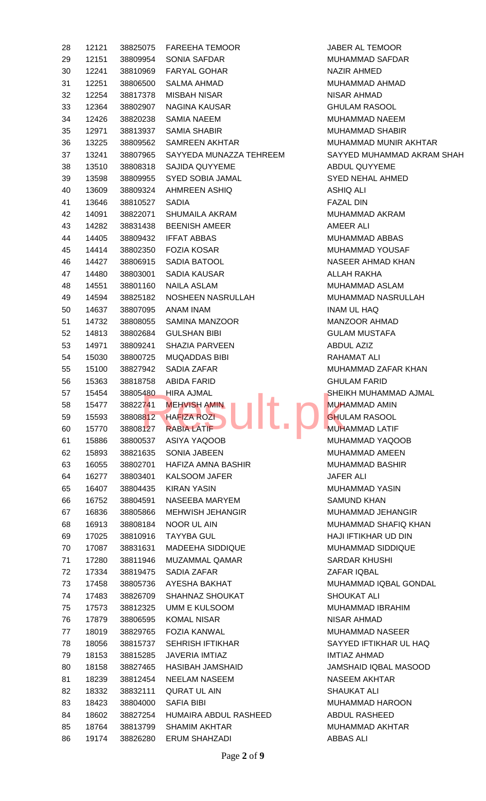| 28 | 12121 | 38825075 | <b>FAREEHA TEMOOR</b>                    | JABE             |
|----|-------|----------|------------------------------------------|------------------|
| 29 | 12151 | 38809954 | <b>SONIA SAFDAR</b>                      | <b>MUH</b>       |
| 30 | 12241 |          | 38810969 FARYAL GOHAR                    | <b>NAZI</b>      |
| 31 | 12251 | 38806500 | <b>SALMA AHMAD</b>                       | <b>MUH</b>       |
| 32 | 12254 | 38817378 | <b>MISBAH NISAR</b>                      | <b>NISA</b>      |
| 33 | 12364 | 38802907 | NAGINA KAUSAR                            | <b>GHU</b>       |
| 34 | 12426 | 38820238 | <b>SAMIA NAEEM</b>                       | <b>MUH</b>       |
| 35 | 12971 | 38813937 | <b>SAMIA SHABIR</b>                      | <b>MUH</b>       |
| 36 | 13225 | 38809562 | <b>SAMREEN AKHTAR</b>                    | <b>MUH</b>       |
| 37 | 13241 | 38807965 | SAYYEDA MUNAZZA TEHREEM                  | SAY <sup>\</sup> |
| 38 | 13510 | 38808318 | SAJIDA QUYYEME                           | <b>ABDI</b>      |
| 39 | 13598 | 38809955 | SYED SOBIA JAMAL                         | <b>SYEI</b>      |
| 40 | 13609 | 38809324 | AHMREEN ASHIQ                            | <b>ASHI</b>      |
| 41 | 13646 | 38810527 | <b>SADIA</b>                             | <b>FAZA</b>      |
| 42 | 14091 | 38822071 | <b>SHUMAILA AKRAM</b>                    | <b>MUH</b>       |
| 43 | 14282 | 38831438 | <b>BEENISH AMEER</b>                     | <b>AME</b>       |
| 44 | 14405 | 38809432 | <b>IFFAT ABBAS</b>                       | <b>MUH</b>       |
| 45 | 14414 | 38802350 | <b>FOZIA KOSAR</b>                       | <b>MUH</b>       |
| 46 | 14427 | 38806915 | SADIA BATOOL                             | <b>NASI</b>      |
| 47 | 14480 | 38803001 | <b>SADIA KAUSAR</b>                      | <b>ALLA</b>      |
| 48 | 14551 | 38801160 | <b>NAILA ASLAM</b>                       | <b>MUH</b>       |
| 49 | 14594 | 38825182 | NOSHEEN NASRULLAH                        | <b>MUH</b>       |
| 50 | 14637 | 38807095 | ANAM INAM                                | <b>INAM</b>      |
| 51 | 14732 | 38808055 | SAMINA MANZOOR                           | MAN.             |
| 52 | 14813 | 38802684 | <b>GULSHAN BIBI</b>                      | GUL/             |
| 53 | 14971 | 38809241 | <b>SHAZIA PARVEEN</b>                    | <b>ABDI</b>      |
| 54 | 15030 | 38800725 | <b>MUQADDAS BIBI</b>                     | RAH              |
| 55 | 15100 | 38827942 | SADIA ZAFAR                              | <b>MUH</b>       |
| 56 | 15363 | 38818758 | ABIDA FARID                              | GHU              |
| 57 | 15454 | 38805480 | <b>HIRA AJMAL</b>                        | <b>SHEI</b>      |
| 58 | 15477 | 38822741 | <b>TERM</b><br><b>MEHVISH AMIN</b><br>E. | <b>MUH</b>       |
| 59 | 15593 | 38808812 | <b>HAFIZA ROZI</b>                       | GHU              |
| 60 | 15770 | 38808127 | <b>RABIA LATIF</b>                       | <b>MUH</b>       |
| 61 | 15886 | 38800537 | ASIYA YAQOOB                             | <b>MUH</b>       |
| 62 | 15893 | 38821635 | <b>SONIA JABEEN</b>                      | <b>MUH</b>       |
| 63 | 16055 | 38802701 | HAFIZA AMNA BASHIR                       | <b>MUH</b>       |
| 64 | 16277 | 38803401 | <b>KALSOOM JAFER</b>                     | <b>JAFE</b>      |
| 65 | 16407 | 38804435 | <b>KIRAN YASIN</b>                       | <b>MUH</b>       |
| 66 | 16752 | 38804591 | NASEEBA MARYEM                           | <b>SAM</b>       |
| 67 | 16836 | 38805866 | MEHWISH JEHANGIR                         | <b>MUH</b>       |
| 68 | 16913 | 38808184 | <b>NOOR UL AIN</b>                       | <b>MUH</b>       |
| 69 | 17025 | 38810916 | <b>TAYYBA GUL</b>                        | <b>HAJI</b>      |
| 70 | 17087 | 38831631 | <b>MADEEHA SIDDIQUE</b>                  | <b>MUH</b>       |
| 71 | 17280 | 38811946 | <b>MUZAMMAL QAMAR</b>                    | <b>SARI</b>      |
| 72 | 17334 | 38819475 | SADIA ZAFAR                              | ZAF/             |
| 73 | 17458 | 38805736 | AYESHA BAKHAT                            | <b>MUH</b>       |
| 74 | 17483 | 38826709 | SHAHNAZ SHOUKAT                          | <b>SHO</b>       |
| 75 | 17573 | 38812325 | <b>UMM E KULSOOM</b>                     | <b>MUH</b>       |
| 76 | 17879 | 38806595 | <b>KOMAL NISAR</b>                       | <b>NISA</b>      |
| 77 | 18019 | 38829765 | <b>FOZIA KANWAL</b>                      | <b>MUH</b>       |
| 78 | 18056 | 38815737 | <b>SEHRISH IFTIKHAR</b>                  | SAY <sup>Y</sup> |
| 79 | 18153 | 38815285 | <b>JAVERIA IMTIAZ</b>                    | IMTI/            |
| 80 | 18158 | 38827465 | HASIBAH JAMSHAID                         | <b>JAMS</b>      |
| 81 | 18239 | 38812454 | <b>NEELAM NASEEM</b>                     | <b>NASI</b>      |
| 82 | 18332 | 38832111 | <b>QURAT UL AIN</b>                      | <b>SHAI</b>      |
| 83 | 18423 | 38804000 | <b>SAFIA BIBI</b>                        | <b>MUH</b>       |
| 84 | 18602 | 38827254 | HUMAIRA ABDUL RASHEED                    | <b>ABDI</b>      |
| 85 | 18764 | 38813799 | <b>SHAMIM AKHTAR</b>                     | <b>MUH</b>       |
| 86 | 19174 | 38826280 | <b>ERUM SHAHZADI</b>                     | ABB/             |
|    |       |          |                                          |                  |

JABER AL TEMOOR MUHAMMAD SAFDAR **NAZIR AHMED** MUHAMMAD AHMAD NISAR AHMAD **GHULAM RASOOL** MUHAMMAD NAEEM MUHAMMAD SHABIR MUHAMMAD MUNIR AKHTAR SAYYED MUHAMMAD AKRAM SHAH ABDUL QUYYEME SYED NEHAL AHMED **ASHIQ ALI** FAZAL DIN MUHAMMAD AKRAM AMEER ALI MUHAMMAD ABBAS MUHAMMAD YOUSAF NASEER AHMAD KHAN AI I AH RAKHA MUHAMMAD ASLAM MUHAMMAD NASRULLAH INAM UL HAQ MANZOOR AHMAD **GULAM MUSTAFA** ABDUL AZIZ RAHAMAT ALI MUHAMMAD ZAFAR KHAN **GHULAM FARID** SHEIKH MUHAMMAD AJMAL MUHAMMAD AMIN **GHULAM RASOOL MUHAMMAD LATIF** MUHAMMAD YAQOOB MUHAMMAD AMEEN MUHAMMAD BASHIR **JAFER ALI** MUHAMMAD YASIN SAMUND KHAN MUHAMMAD JEHANGIR MUHAMMAD SHAFIQ KHAN HAJI IFTIKHAR UD DIN MUHAMMAD SIDDIQUE SARDAR KHUSHI ZAFAR IQBAL MUHAMMAD IQBAL GONDAL SHOUKAT ALI MUHAMMAD IBRAHIM NISAR AHMAD MUHAMMAD NASEER SAYYED IFTIKHAR UL HAQ **IMTIAZ AHMAD** JAMSHAID IQBAL MASOOD **NASEEM AKHTAR** SHAUKAT ALI MUHAMMAD HAROON ABDUL RASHEED MUHAMMAD AKHTAR ABBAS ALI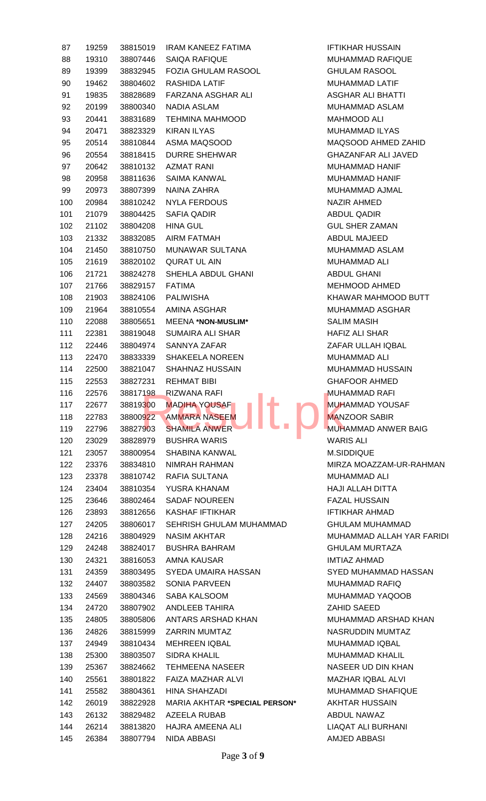| 87         | 19259 | 38815019             | <b>IRAM KANEEZ FATIMA</b>            | <b>IFTIK</b>     |
|------------|-------|----------------------|--------------------------------------|------------------|
| 88         | 19310 | 38807446             | <b>SAIQA RAFIQUE</b>                 | <b>MUH</b>       |
| 89         | 19399 | 38832945             | <b>FOZIA GHULAM RASOOL</b>           | <b>GHU</b>       |
| 90         | 19462 | 38804602             | <b>RASHIDA LATIF</b>                 | <b>MUH</b>       |
| 91         | 19835 | 38828689             | FARZANA ASGHAR ALI                   | <b>ASGI</b>      |
| 92         | 20199 | 38800340             | <b>NADIA ASLAM</b>                   | <b>MUH</b>       |
| 93         | 20441 | 38831689             | <b>TEHMINA MAHMOOD</b>               | <b>MAH</b>       |
| 94         | 20471 | 38823329             | <b>KIRAN ILYAS</b>                   | <b>MUH</b>       |
| 95         | 20514 | 38810844             | ASMA MAQSOOD                         | <b>MAQ</b>       |
| 96         | 20554 | 38818415             | <b>DURRE SHEHWAR</b>                 | GHA.             |
| 97         | 20642 | 38810132             | <b>AZMAT RANI</b>                    | <b>MUH</b>       |
| 98         | 20958 | 38811636             | SAIMA KANWAL                         | <b>MUH</b>       |
| 99         | 20973 | 38807399             | NAINA ZAHRA                          | <b>MUH</b>       |
| 100        | 20984 | 38810242             | <b>NYLA FERDOUS</b>                  | <b>NAZI</b>      |
| 101        | 21079 | 38804425             | <b>SAFIA QADIR</b>                   | <b>ABDI</b>      |
| 102        | 21102 | 38804208             | <b>HINA GUL</b>                      | <b>GUL</b>       |
| 103        | 21332 | 38832085             | <b>AIRM FATMAH</b>                   | <b>ABDI</b>      |
| 104        | 21450 | 38810750             | MUNAWAR SULTANA                      | <b>MUH</b>       |
| 105        | 21619 | 38820102             | <b>QURAT UL AIN</b>                  | <b>MUH</b>       |
| 106        | 21721 | 38824278             | SHEHLA ABDUL GHANI                   | <b>ABDI</b>      |
| 107        | 21766 | 38829157             | <b>FATIMA</b>                        | <b>MEH</b>       |
| 108        | 21903 | 38824106             | <b>PALIWISHA</b>                     | <b>KHA\</b>      |
| 109        | 21964 | 38810554             | AMINA ASGHAR                         | <b>MUH</b>       |
| 110        | 22088 | 38805651             | <b>MEENA *NON-MUSLIM*</b>            | <b>SALI</b>      |
| 111        | 22381 | 38819048             | <b>SUMAIRA ALI SHAR</b>              | <b>HAFI</b>      |
| 112        | 22446 | 38804974             | SANNYA ZAFAR                         | ZAF/             |
| 113        | 22470 | 38833339             | <b>SHAKEELA NOREEN</b>               | <b>MUH</b>       |
| 114        | 22500 | 38821047             | <b>SHAHNAZ HUSSAIN</b>               | <b>MUH</b>       |
| 115        | 22553 |                      | <b>REHMAT BIBI</b>                   | <b>GHA</b>       |
|            | 22576 | 38827231<br>38817198 | <b>RIZWANA RAFI</b>                  | <b>MUH</b>       |
| 116<br>117 |       |                      | - 4<br><b>MADIHA YOUSAF</b>          | <b>MUH</b>       |
| 118        | 22677 | 38819300             | - -<br><b>AMMARA NASEEM</b>          | <b>MAN</b>       |
| 119        | 22783 | 38800922             | <b>SHAMILA ANWER</b>                 | <b>MUH</b>       |
|            | 22796 | 38827903             |                                      |                  |
| 120        | 23029 | 38828979             | <b>BUSHRA WARIS</b>                  | <b>WAR</b>       |
| 121        | 23057 | 38800954             | <b>SHABINA KANWAL</b>                | M.SII            |
| 122        | 23376 | 38834810             | NIMRAH RAHMAN                        | <b>MIRZ</b>      |
| 123        | 23378 | 38810742             | RAFIA SULTANA                        | <b>MUH</b>       |
| 124        | 23404 | 38810354             | YUSRA KHANAM                         | <b>HAJI</b>      |
| 125        | 23646 | 38802464             | <b>SADAF NOUREEN</b>                 | <b>FAZA</b>      |
| 126        | 23893 | 38812656             | <b>KASHAF IFTIKHAR</b>               | <b>IFTIK</b>     |
| 127        | 24205 | 38806017             | SEHRISH GHULAM MUHAMMAD              | <b>GHU</b>       |
| 128        | 24216 | 38804929             | <b>NASIM AKHTAR</b>                  | <b>MUH</b>       |
| 129        | 24248 | 38824017             | <b>BUSHRA BAHRAM</b>                 | GHU              |
| 130        | 24321 | 38816053             | AMNA KAUSAR                          | IMTI/            |
| 131        | 24359 | 38803495             | SYEDA UMAIRA HASSAN                  | <b>SYED</b>      |
| 132        | 24407 | 38803582             | <b>SONIA PARVEEN</b>                 | <b>MUH</b>       |
| 133        | 24569 | 38804346             | SABA KALSOOM                         | <b>MUH</b>       |
| 134        | 24720 | 38807902             | ANDLEEB TAHIRA                       | <b>ZAHI</b>      |
| 135        | 24805 | 38805806             | ANTARS ARSHAD KHAN                   | <b>MUH</b>       |
| 136        | 24826 | 38815999             | <b>ZARRIN MUMTAZ</b>                 | <b>NASI</b>      |
| 137        | 24949 | 38810434             | <b>MEHREEN IQBAL</b>                 | <b>MUH</b>       |
| 138        | 25300 | 38803507             | <b>SIDRA KHALIL</b>                  | <b>MUH</b>       |
| 139        | 25367 | 38824662             | <b>TEHMEENA NASEER</b>               | <b>NASI</b>      |
| 140        | 25561 | 38801822             | <b>FAIZA MAZHAR ALVI</b>             | <b>MAZI</b>      |
| 141        | 25582 | 38804361             | <b>HINA SHAHZADI</b>                 | <b>MUH</b>       |
| 142        | 26019 | 38822928             | <b>MARIA AKHTAR *SPECIAL PERSON*</b> | AKH <sup>-</sup> |
| 143        | 26132 | 38829482             | AZEELA RUBAB                         | <b>ABDI</b>      |
| 144        | 26214 | 38813820             | HAJRA AMEENA ALI                     | <b>LIAQ</b>      |
| 145        | 26384 | 38807794             | NIDA ABBASI                          | AMJE             |

**IFTIKHAR HUSSAIN** MUHAMMAD RAFIQUE **GHULAM RASOOL** MUHAMMAD LATIF ASGHAR ALI BHATTI MUHAMMAD ASLAM MAHMOOD ALI MUHAMMAD ILYAS MAQSOOD AHMED ZAHID GHAZANFAR ALI JAVED MUHAMMAD HANIF MUHAMMAD HANIF MUHAMMAD AJMAL NAZIR AHMED ABDUL QADIR **GUL SHER ZAMAN** ABDUL MAJEED MUHAMMAD ASLAM MUHAMMAD ALI **ABDUL GHANI** MEHMOOD AHMED KHAWAR MAHMOOD BUTT MUHAMMAD ASGHAR SALIM MASIH HAFIZ ALI SHAR **ZAFAR ULLAH IQBAL** MUHAMMAD ALI MUHAMMAD HUSSAIN GHAFOOR AHMED **MUHAMMAD RAFI** MUHAMMAD YOUSAF **MANZOOR SABIR** MUHAMMAD ANWER BAIG **WARIS ALI** M.SIDDIQUE MIRZA MOAZZAM-UR-RAHMAN MUHAMMAD ALI HAJI ALLAH DITTA **FAZAL HUSSAIN** IFTIKHAR AHMAD GHULAM MUHAMMAD MUHAMMAD ALLAH YAR FARIDI GHULAM MURTAZA **IMTIAZ AHMAD** SYED MUHAMMAD HASSAN MUHAMMAD RAFIQ MUHAMMAD YAQOOB ZAHID SAEED MUHAMMAD ARSHAD KHAN NASRUDDIN MUMTAZ MUHAMMAD IQBAL MUHAMMAD KHALIL NASEER UD DIN KHAN MAZHAR IQBAL ALVI MUHAMMAD SHAFIQUE **AKHTAR HUSSAIN** ABDUL NAWAZ LIAQAT ALI BURHANI AMJED ABBASI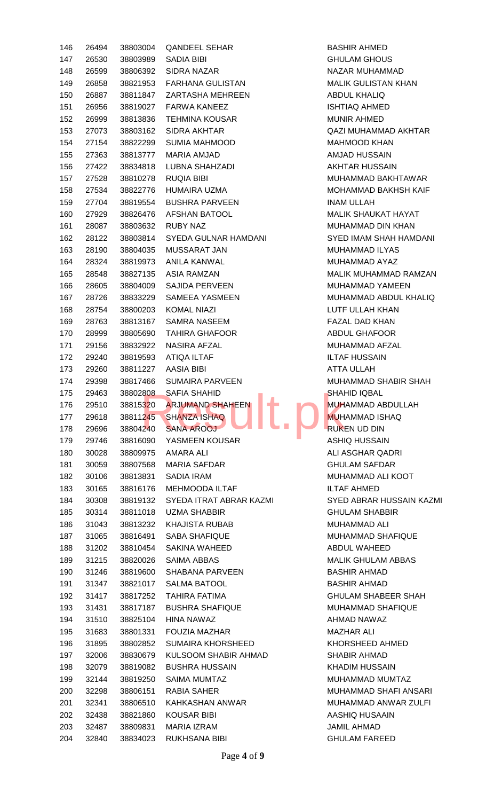| 146        | 26494          | 38803004             | <b>QANDEEL SEHAR</b>                         | <b>BAS</b>                |
|------------|----------------|----------------------|----------------------------------------------|---------------------------|
| 147        | 26530          | 38803989             | <b>SADIA BIBI</b>                            | <b>GHU</b>                |
| 148        | 26599          | 38806392             | <b>SIDRA NAZAR</b>                           | NAZ/                      |
| 149        | 26858          | 38821953             | <b>FARHANA GULISTAN</b>                      | <b>MALI</b>               |
| 150        | 26887          | 38811847             | ZARTASHA MEHREEN                             | <b>ABDI</b>               |
| 151        | 26956          | 38819027             | <b>FARWA KANEEZ</b>                          | <b>ISHT</b>               |
| 152        | 26999          | 38813836             | <b>TEHMINA KOUSAR</b>                        | <b>MUN</b>                |
| 153        | 27073          | 38803162             | <b>SIDRA AKHTAR</b>                          | QAZI                      |
| 154        | 27154          | 38822299             | SUMIA MAHMOOD                                | <b>MAH</b>                |
| 155        | 27363          | 38813777             | MARIA AMJAD                                  | AMJ/                      |
| 156        | 27422          | 38834818             | <b>LUBNA SHAHZADI</b>                        | AKH <sup>-</sup>          |
| 157        | 27528          | 38810278             | <b>RUQIA BIBI</b>                            | <b>MUH</b>                |
| 158        | 27534          | 38822776             | HUMAIRA UZMA                                 | <b>MOH</b>                |
| 159        | 27704          | 38819554             | <b>BUSHRA PARVEEN</b>                        | <b>INAM</b>               |
| 160        | 27929          | 38826476             | AFSHAN BATOOL                                | <b>MALI</b>               |
| 161        | 28087          | 38803632             | <b>RUBY NAZ</b>                              | <b>MUH</b>                |
| 162        | 28122          | 38803814             | SYEDA GULNAR HAMDANI                         | <b>SYED</b>               |
| 163        | 28190          | 38804035             | <b>MUSSARAT JAN</b>                          | <b>MUH</b>                |
| 164        | 28324          | 38819973             | ANILA KANWAL                                 | <b>MUH</b>                |
| 165        | 28548          | 38827135             | <b>ASIA RAMZAN</b>                           | <b>MALI</b>               |
| 166        | 28605          | 38804009             | <b>SAJIDA PERVEEN</b>                        | <b>MUH</b>                |
| 167        | 28726          | 38833229             | <b>SAMEEA YASMEEN</b>                        | <b>MUH</b>                |
| 168        | 28754          | 38800203             | <b>KOMAL NIAZI</b>                           | <b>LUTF</b>               |
| 169        | 28763          | 38813167             | <b>SAMRA NASEEM</b>                          | <b>FAZA</b>               |
| 170        | 28999          | 38805690             | <b>TAHIRA GHAFOOR</b>                        | <b>ABDI</b>               |
| 171        | 29156          | 38832922             | <b>NASIRA AFZAL</b>                          | <b>MUH</b>                |
| 172        | 29240          | 38819593             | <b>ATIQA ILTAF</b>                           | <b>ILTAI</b>              |
| 173        | 29260          | 38811227             | <b>AASIA BIBI</b>                            | ATTA                      |
| 174        | 29398          | 38817466             | <b>SUMAIRA PARVEEN</b>                       | <b>MUH</b>                |
| 175        | 29463          | 38802808             | <b>SAFIA SHAHID</b>                          | SHAI                      |
| 176        | 29510          | 38815320             | - 4<br><b>ARJUMAND SHAHEEN</b><br>- 1        | <b>MUH</b>                |
| 177        | 29618          | 38811245             | <b>SHANZA ISHAQ</b>                          | <b>MUH</b>                |
| 178        | 29696          | 38804240             | <b>SANA AROOJ</b>                            | <b>RUKI</b>               |
| 179        | 29746          | 38816090             | YASMEEN KOUSAR                               | <b>ASHI</b>               |
| 180        | 30028          | 38809975             | <b>AMARA ALI</b>                             | ALI A                     |
| 181        | 30059          | 38807568             | <b>MARIA SAFDAR</b>                          | <b>GHU</b>                |
|            |                |                      | <b>SADIA IRAM</b>                            | <b>MUH</b>                |
|            | 30106          | 38813831             |                                              |                           |
| 182<br>183 | 30165          | 38816176             | <b>MEHMOODA ILTAF</b>                        | <b>ILTAI</b>              |
|            | 30308          | 38819132             | SYEDA ITRAT ABRAR KAZMI                      | <b>SYED</b>               |
| 184        | 30314          | 38811018             |                                              |                           |
| 185        |                |                      | <b>UZMA SHABBIR</b><br><b>KHAJISTA RUBAB</b> | GHU                       |
| 186        | 31043          | 38813232<br>38816491 |                                              | <b>MUH</b><br><b>MUH</b>  |
| 187        | 31065          | 38810454             | <b>SABA SHAFIQUE</b>                         |                           |
| 188        | 31202          | 38820026             | SAKINA WAHEED                                | <b>ABDI</b>               |
| 189        | 31215          |                      | SAIMA ABBAS                                  | <b>MALI</b>               |
| 190        | 31246          | 38819600             | <b>SHABANA PARVEEN</b>                       | <b>BAS</b>                |
| 191        | 31347          | 38821017             | <b>SALMA BATOOL</b>                          | <b>BAS</b>                |
| 192        | 31417          | 38817252             | TAHIRA FATIMA                                | GHU                       |
| 193        | 31431          | 38817187             | <b>BUSHRA SHAFIQUE</b>                       | <b>MUH</b>                |
| 194        | 31510          | 38825104             | <b>HINA NAWAZ</b>                            | AHM.                      |
| 195        | 31683          | 38801331             | <b>FOUZIA MAZHAR</b>                         | <b>MAZI</b>               |
| 196        | 31895          | 38802852             | <b>SUMAIRA KHORSHEED</b>                     | KHOI                      |
| 197        | 32006          | 38830679             | KULSOOM SHABIR AHMAD                         | <b>SHAI</b>               |
| 198        | 32079          | 38819082             | <b>BUSHRA HUSSAIN</b>                        | <b>KHAI</b>               |
| 199        | 32144          | 38819250             | <b>SAIMA MUMTAZ</b>                          | <b>MUH</b>                |
| 200        | 32298          | 38806151             | <b>RABIA SAHER</b>                           | <b>MUH</b>                |
| 201        | 32341          | 38806510             | KAHKASHAN ANWAR                              | <b>MUH</b>                |
| 202        | 32438          | 38821860             | <b>KOUSAR BIBI</b>                           | AASI                      |
| 203<br>204 | 32487<br>32840 | 38809831<br>38834023 | <b>MARIA IZRAM</b><br><b>RUKHSANA BIBI</b>   | <b>JAMI</b><br><b>GHU</b> |

BASHIR AHMED **GHULAM GHOUS** NAZAR MUHAMMAD MALIK GULISTAN KHAN **ABDUL KHALIQ ISHTIAQ AHMED** MUNIR AHMED QAZI MUHAMMAD AKHTAR MAHMOOD KHAN AMJAD HUSSAIN **AKHTAR HUSSAIN** MUHAMMAD BAKHTAWAR MOHAMMAD BAKHSH KAIF INAM ULLAH MALIK SHAUKAT HAYAT MUHAMMAD DIN KHAN SYED IMAM SHAH HAMDANI MUHAMMAD ILYAS MUHAMMAD AYAZ MALIK MUHAMMAD RAMZAN MUHAMMAD YAMEEN MUHAMMAD ABDUL KHALIQ LUTF ULLAH KHAN FAZAL DAD KHAN ABDUL GHAFOOR MUHAMMAD AFZAL **ILTAF HUSSAIN ATTA ULLAH** MUHAMMAD SHABIR SHAH SHAHID IQBAL MUHAMMAD ABDULLAH MUHAMMAD ISHAQ **RUKEN UD DIN** ASHIQ HUSSAIN **ALI ASGHAR QADRI GHULAM SAFDAR** MUHAMMAD ALI KOOT ILTAF AHMED **SYED ABRAR HUSSAIN KAZMI GHULAM SHABBIR** MUHAMMAD ALI MUHAMMAD SHAFIQUE ABDUL WAHEED MALIK GHULAM ABBAS BASHIR AHMAD BASHIR AHMAD **GHULAM SHABEER SHAH** MUHAMMAD SHAFIQUE AHMAD NAWAZ **MAZHAR ALI** KHORSHEED AHMED SHABIR AHMAD KHADIM HUSSAIN MUHAMMAD MUMTAZ MUHAMMAD SHAFI ANSARI MUHAMMAD ANWAR ZULFI AASHIQ HUSAAIN JAMIL AHMAD **GHULAM FAREED**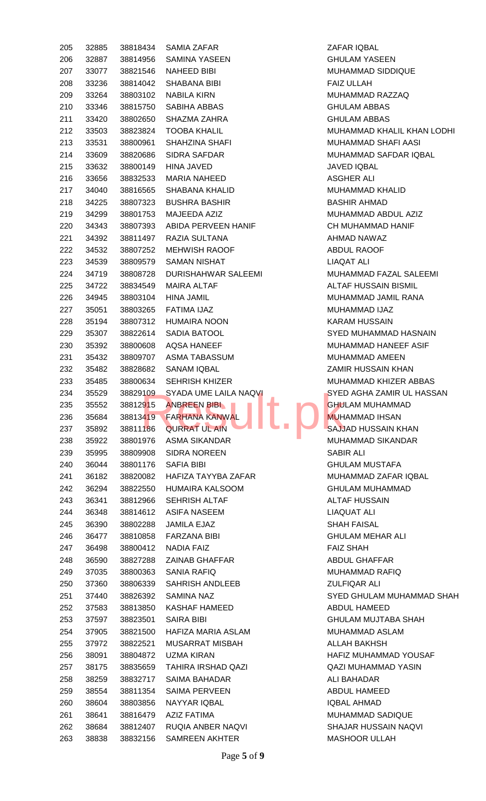| 205 | 32885 | 38818434 | <b>SAMIA ZAFAR</b>          | ZAFAR IQI        |
|-----|-------|----------|-----------------------------|------------------|
| 206 | 32887 | 38814956 | <b>SAMINA YASEEN</b>        | <b>GHULAM</b>    |
| 207 | 33077 | 38821546 | <b>NAHEED BIBI</b>          | <b>MUHAMM</b>    |
| 208 | 33236 | 38814042 | <b>SHABANA BIBI</b>         | <b>FAIZ ULLA</b> |
| 209 | 33264 | 38803102 | <b>NABILA KIRN</b>          | <b>MUHAMM</b>    |
| 210 | 33346 | 38815750 | SABIHA ABBAS                | <b>GHULAM</b>    |
| 211 | 33420 | 38802650 | SHAZMA ZAHRA                | <b>GHULAM</b>    |
| 212 | 33503 | 38823824 | <b>TOOBA KHALIL</b>         | <b>MUHAMM</b>    |
| 213 | 33531 | 38800961 | SHAHZINA SHAFI              | <b>MUHAMM</b>    |
| 214 | 33609 | 38820686 | <b>SIDRA SAFDAR</b>         | <b>MUHAMM</b>    |
| 215 | 33632 | 38800149 | <b>HINA JAVED</b>           | <b>JAVED IQI</b> |
| 216 | 33656 | 38832533 | <b>MARIA NAHEED</b>         | ASGHER /         |
| 217 | 34040 | 38816565 | SHABANA KHALID              | <b>MUHAMM</b>    |
| 218 | 34225 | 38807323 | <b>BUSHRA BASHIR</b>        | <b>BASHIR A</b>  |
| 219 | 34299 | 38801753 | MAJEEDA AZIZ                | <b>MUHAMM</b>    |
| 220 | 34343 | 38807393 | ABIDA PERVEEN HANIF         | <b>CH MUHA</b>   |
| 221 | 34392 | 38811497 | <b>RAZIA SULTANA</b>        | <b>AHMAD N</b>   |
| 222 | 34532 | 38807252 | <b>MEHWISH RAOOF</b>        | ABDUL RA         |
| 223 | 34539 | 38809579 | <b>SAMAN NISHAT</b>         | <b>LIAQAT AI</b> |
| 224 | 34719 | 38808728 | DURISHAHWAR SALEEMI         | <b>MUHAMM</b>    |
| 225 | 34722 | 38834549 | <b>MAIRA ALTAF</b>          | <b>ALTAF HU</b>  |
| 226 | 34945 | 38803104 | <b>HINA JAMIL</b>           | <b>MUHAMM</b>    |
| 227 | 35051 | 38803265 | FATIMA IJAZ                 | <b>MUHAMM</b>    |
| 228 | 35194 | 38807312 | <b>HUMAIRA NOON</b>         | <b>KARAM HI</b>  |
| 229 | 35307 | 38822614 | SADIA BATOOL                | <b>SYED MUI</b>  |
| 230 | 35392 | 38800608 | <b>AQSA HANEEF</b>          | <b>MUHAMM</b>    |
| 231 | 35432 | 38809707 | ASMA TABASSUM               | <b>MUHAMM</b>    |
| 232 | 35482 | 38828682 | <b>SANAM IQBAL</b>          | <b>ZAMIR HU</b>  |
| 233 | 35485 | 38800634 | <b>SEHRISH KHIZER</b>       | <b>MUHAMM</b>    |
| 234 | 35529 | 38829109 | SYADA UME LAILA NAQVI       | <b>SYED AGI</b>  |
| 235 | 35552 | 38812915 | <b>ANBREEN BIBL</b><br>مزاد | <b>GHULAM</b>    |
| 236 | 35684 | 38813419 | <b>FARHANA KANWAL</b>       | <b>MUHAMM</b>    |
| 237 | 35892 | 38811186 | <b>QURRAT UL AIN</b>        | <b>SAJJAD H</b>  |
| 238 | 35922 | 38801976 | <b>ASMA SIKANDAR</b>        | <b>MUHAMM</b>    |
| 239 | 35995 | 38809908 | <b>SIDRA NOREEN</b>         | <b>SABIR ALI</b> |
| 240 | 36044 | 38801176 | <b>SAFIA BIBI</b>           | <b>GHULAM I</b>  |
| 241 | 36182 | 38820082 | HAFIZA TAYYBA ZAFAR         | <b>MUHAMM</b>    |
| 242 | 36294 | 38822550 | <b>HUMAIRA KALSOOM</b>      | <b>GHULAM</b>    |
| 243 | 36341 | 38812966 | SEHRISH ALTAF               | <b>ALTAF HU</b>  |
| 244 | 36348 | 38814612 | <b>ASIFA NASEEM</b>         | LIAQUAT          |
| 245 | 36390 | 38802288 | <b>JAMILA EJAZ</b>          | <b>SHAH FAI</b>  |
| 246 | 36477 | 38810858 | <b>FARZANA BIBI</b>         | <b>GHULAM</b>    |
| 247 | 36498 | 38800412 | <b>NADIA FAIZ</b>           | <b>FAIZ SHAI</b> |
| 248 | 36590 | 38827288 | <b>ZAINAB GHAFFAR</b>       | <b>ABDUL GH</b>  |
| 249 | 37035 | 38800363 | <b>SANIA RAFIQ</b>          | <b>MUHAMM</b>    |
| 250 | 37360 | 38806339 | SAHRISH ANDLEEB             | <b>ZULFIQAR</b>  |
| 251 | 37440 | 38826392 | <b>SAMINA NAZ</b>           | <b>SYED GHI</b>  |
| 252 | 37583 | 38813850 | <b>KASHAF HAMEED</b>        | ABDUL HA         |
| 253 | 37597 | 38823501 | <b>SAIRA BIBI</b>           | <b>GHULAM</b>    |
| 254 | 37905 | 38821500 | HAFIZA MARIA ASLAM          | <b>MUHAMM</b>    |
| 255 | 37972 | 38822521 | <b>MUSARRAT MISBAH</b>      | <b>ALLAH BA</b>  |
| 256 | 38091 | 38804872 | <b>UZMA KIRAN</b>           | <b>HAFIZ MU</b>  |
| 257 | 38175 | 38835659 | <b>TAHIRA IRSHAD QAZI</b>   | <b>QAZI MUH</b>  |
| 258 | 38259 | 38832717 | SAIMA BAHADAR               | <b>ALI BAHAI</b> |
| 259 | 38554 | 38811354 | SAIMA PERVEEN               | ABDUL HA         |
| 260 | 38604 | 38803856 | NAYYAR IQBAL                | <b>IQBAL AHI</b> |
| 261 | 38641 | 38816479 | <b>AZIZ FATIMA</b>          | <b>MUHAMM</b>    |
| 262 | 38684 | 38812407 | RUQIA ANBER NAQVI           | SHAJAR H         |
| 263 | 38838 | 38832156 | <b>SAMREEN AKHTER</b>       | <b>MASHOOF</b>   |
|     |       |          |                             |                  |

ZAFAR IQBAL **GHULAM YASEEN** MUHAMMAD SIDDIQUE FAIZ ULLAH MUHAMMAD RAZZAQ **GHULAM ABBAS GHULAM ABBAS** MUHAMMAD KHALIL KHAN LODHI MUHAMMAD SHAFI AASI MUHAMMAD SAFDAR IQBAL **JAVED IQBAL** ASGHER ALI MUHAMMAD KHALID BASHIR AHMAD MUHAMMAD ABDUL AZIZ CH MUHAMMAD HANIF AHMAD NAWAZ ABDUL RAOOF LIAQAT ALI MUHAMMAD FAZAL SALEEMI ALTAF HUSSAIN BISMIL MUHAMMAD JAMIL RANA MUHAMMAD IJAZ KARAM HUSSAIN SYED MUHAMMAD HASNAIN MUHAMMAD HANEEF ASIF MUHAMMAD AMEEN **ZAMIR HUSSAIN KHAN** MUHAMMAD KHIZER ABBAS **SYED AGHA ZAMIR UL HASSAN** GHULAM MUHAMMAD MUHAMMAD IHSAN **SAJJAD HUSSAIN KHAN** MUHAMMAD SIKANDAR **GHULAM MUSTAFA** MUHAMMAD ZAFAR IQBAL GHULAM MUHAMMAD **ALTAF HUSSAIN** LIAQUAT ALI **SHAH FAISAL GHULAM MEHAR ALI FAIZ SHAH** ABDUL GHAFFAR MUHAMMAD RAFIQ ZULFIQAR ALI SYED GHULAM MUHAMMAD SHAH ABDUL HAMEED GHULAM MUJTABA SHAH MUHAMMAD ASLAM ALLAH BAKHSH HAFIZ MUHAMMAD YOUSAF QAZI MUHAMMAD YASIN ALI BAHADAR ABDUL HAMEED IQBAL AHMAD MUHAMMAD SADIQUE SHAJAR HUSSAIN NAQVI MASHOOR ULLAH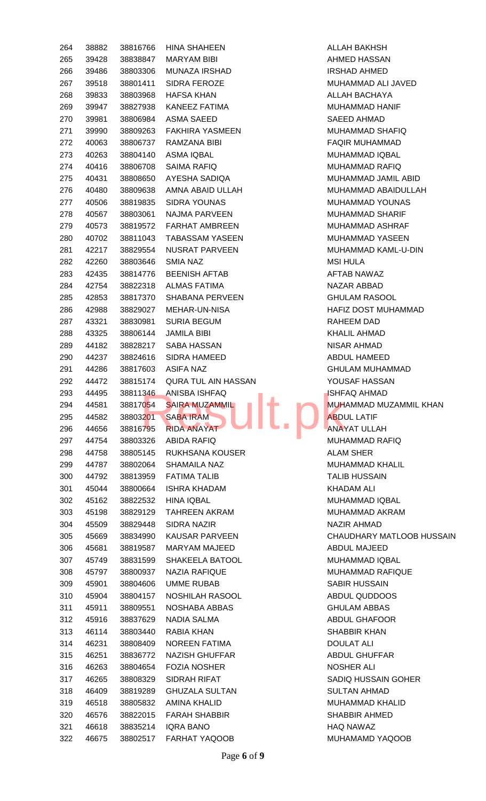| 264 | 38882 | 38816766 | HINA SHAHEEN               | ALLA             |
|-----|-------|----------|----------------------------|------------------|
| 265 | 39428 | 38838847 | <b>MARYAM BIBI</b>         | <b>AHM</b>       |
| 266 | 39486 | 38803306 | <b>MUNAZA IRSHAD</b>       | <b>IRSH</b>      |
| 267 | 39518 | 38801411 | <b>SIDRA FEROZE</b>        | <b>MUH</b>       |
| 268 | 39833 | 38803968 | <b>HAFSA KHAN</b>          | <b>ALLA</b>      |
| 269 | 39947 | 38827938 | KANEEZ FATIMA              | <b>MUH</b>       |
| 270 | 39981 | 38806984 | <b>ASMA SAEED</b>          | <b>SAEE</b>      |
| 271 | 39990 | 38809263 | <b>FAKHIRA YASMEEN</b>     | <b>MUH</b>       |
| 272 | 40063 | 38806737 | RAMZANA BIBI               | <b>FAQI</b>      |
| 273 | 40263 | 38804140 | ASMA IQBAL                 | <b>MUH</b>       |
| 274 | 40416 | 38806708 | <b>SAIMA RAFIQ</b>         | <b>MUH</b>       |
| 275 | 40431 | 38808650 | AYESHA SADIQA              | <b>MUH</b>       |
| 276 | 40480 | 38809638 | AMNA ABAID ULLAH           | <b>MUH</b>       |
| 277 | 40506 | 38819835 | <b>SIDRA YOUNAS</b>        | <b>MUH</b>       |
| 278 | 40567 | 38803061 | NAJMA PARVEEN              | <b>MUH</b>       |
| 279 | 40573 | 38819572 | FARHAT AMBREEN             | <b>MUH</b>       |
| 280 | 40702 | 38811043 | <b>TABASSAM YASEEN</b>     | <b>MUH</b>       |
| 281 | 42217 | 38829554 | NUSRAT PARVEEN             | <b>MUH</b>       |
| 282 | 42260 | 38803646 | SMIA NAZ                   | MSI I            |
| 283 | 42435 | 38814776 | <b>BEENISH AFTAB</b>       | AFTA             |
| 284 | 42754 | 38822318 | <b>ALMAS FATIMA</b>        | NAZ/             |
| 285 | 42853 | 38817370 | SHABANA PERVEEN            | <b>GHU</b>       |
| 286 | 42988 | 38829027 | MEHAR-UN-NISA              | <b>HAFI</b>      |
| 287 | 43321 | 38830981 | <b>SURIA BEGUM</b>         | <b>RAHI</b>      |
| 288 | 43325 | 38806144 | <b>JAMILA BIBI</b>         | <b>KHAI</b>      |
| 289 | 44182 | 38828217 | SABA HASSAN                | <b>NISA</b>      |
| 290 | 44237 | 38824616 | SIDRA HAMEED               | ABDI             |
| 291 | 44286 | 38817603 | ASIFA NAZ                  | <b>GHU</b>       |
| 292 | 44472 | 38815174 | <b>QURA TUL AIN HASSAN</b> | YOU:             |
| 293 | 44495 | 38811346 | ANISBA ISHFAQ              | <b>ISHF</b>      |
| 294 | 44581 | 38817054 | <b>SAIRA MUZAMMIL</b>      | <b>MUH</b>       |
| 295 | 44582 | 38803201 | <b>SABA IRAM</b>           | <b>ABDI</b>      |
| 296 | 44656 | 38816795 | <b>RIDA ANAYAT</b>         | ANA <sup>'</sup> |
| 297 | 44754 | 38803326 | <b>ABIDA RAFIQ</b>         | <b>MUH</b>       |
| 298 | 44758 | 38805145 | <b>RUKHSANA KOUSER</b>     | <b>ALAN</b>      |
| 299 | 44787 | 38802064 | <b>SHAMAILA NAZ</b>        | <b>MUH</b>       |
| 300 | 44792 | 38813959 | <b>FATIMA TALIB</b>        | <b>TALII</b>     |
| 301 | 45044 | 38800664 | <b>ISHRA KHADAM</b>        | <b>KHAI</b>      |
| 302 | 45162 | 38822532 | <b>HINA IQBAL</b>          | <b>MUH</b>       |
| 303 | 45198 | 38829129 | TAHREEN AKRAM              | <b>MUH</b>       |
| 304 | 45509 | 38829448 | <b>SIDRA NAZIR</b>         | <b>NAZI</b>      |
| 305 | 45669 | 38834990 | <b>KAUSAR PARVEEN</b>      | CHAI             |
| 306 | 45681 | 38819587 | <b>MARYAM MAJEED</b>       | <b>ABDI</b>      |
| 307 | 45749 | 38831599 | SHAKEELA BATOOL            | <b>MUH</b>       |
| 308 | 45797 | 38800937 | <b>NAZIA RAFIQUE</b>       | <b>MUH</b>       |
| 309 | 45901 | 38804606 | <b>UMME RUBAB</b>          | <b>SABI</b>      |
| 310 | 45904 | 38804157 | NOSHILAH RASOOL            | ABDI             |
| 311 | 45911 | 38809551 | NOSHABA ABBAS              | GHU              |
| 312 | 45916 | 38837629 | NADIA SALMA                | <b>ABDI</b>      |
| 313 | 46114 | 38803440 | RABIA KHAN                 | <b>SHAI</b>      |
| 314 | 46231 | 38808409 | <b>NOREEN FATIMA</b>       | DOU              |
| 315 | 46251 | 38836772 | NAZISH GHUFFAR             | <b>ABDI</b>      |
| 316 | 46263 | 38804654 | <b>FOZIA NOSHER</b>        | <b>NOSI</b>      |
| 317 | 46265 | 38808329 | SIDRAH RIFAT               | <b>SADI</b>      |
| 318 | 46409 | 38819289 | <b>GHUZALA SULTAN</b>      | <b>SUL1</b>      |
| 319 | 46518 | 38805832 | AMINA KHALID               | <b>MUH</b>       |
| 320 | 46576 | 38822015 | <b>FARAH SHABBIR</b>       | <b>SHAI</b>      |
| 321 | 46618 | 38835214 | IQRA BANO                  | <b>HAQ</b>       |
|     |       |          |                            |                  |
| 322 | 46675 |          | 38802517 FARHAT YAQOOB     | <b>MUH</b>       |

ALLAH BAKHSH AHMED HASSAN IRSHAD AHMED MUHAMMAD ALI JAVED ALLAH BACHAYA MUHAMMAD HANIF SAEED AHMAD MUHAMMAD SHAFIQ FAQIR MUHAMMAD MUHAMMAD IQBAL MUHAMMAD RAFIQ MUHAMMAD JAMIL ABID MUHAMMAD ABAIDULLAH MUHAMMAD YOUNAS MUHAMMAD SHARIF MUHAMMAD ASHRAF MUHAMMAD YASEEN MUHAMMAD KAML-U-DIN **MSI HULA** AFTAB NAWAZ NAZAR ABBAD **GHULAM RASOOL** HAFIZ DOST MUHAMMAD RAHEEM DAD KHALIL AHMAD NISAR AHMAD ABDUL HAMEED GHULAM MUHAMMAD YOUSAF HASSAN ISHFAQ AHMAD MUHAMMAD MUZAMMIL KHAN **ABDUL LATIF** ANAYAT ULLAH MUHAMMAD RAFIQ ALAM SHER MUHAMMAD KHALIL **TALIB HUSSAIN** KHADAM ALI MUHAMMAD IQBAL MUHAMMAD AKRAM NAZIR AHMAD CHAUDHARY MATLOOB HUSSAIN ABDUL MAJEED MUHAMMAD IQBAL MUHAMMAD RAFIQUE SABIR HUSSAIN ABDUL QUDDOOS **GHULAM ABBAS** ABDUL GHAFOOR SHABBIR KHAN **DOULAT ALI** ABDUL GHUFFAR NOSHER ALI SADIQ HUSSAIN GOHER SULTAN AHMAD 319 46518 38805832 AMINA KHALID MUHAMMAD KHALID SHABBIR AHMED HAQ NAWAZ MUHAMAMD YAQOOB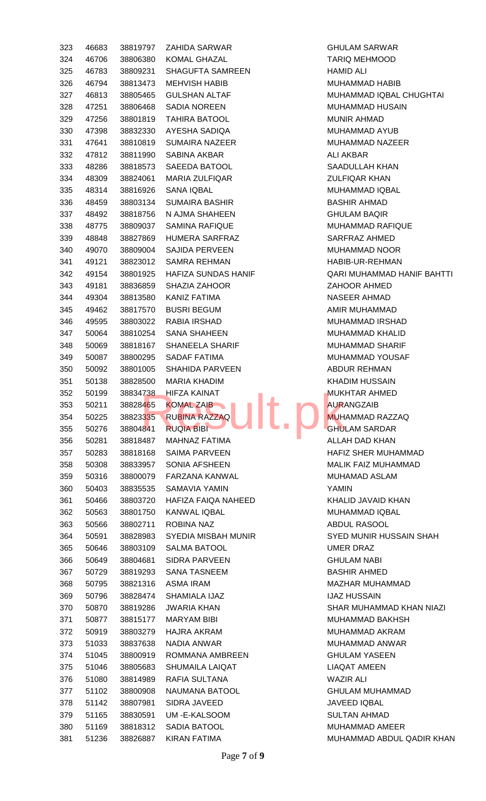| 323        | 46683          | 38819797             | ZAHIDA SARWAR                       | <b>GHULA</b>                 |
|------------|----------------|----------------------|-------------------------------------|------------------------------|
| 324        | 46706          | 38806380             | <b>KOMAL GHAZAL</b>                 | <b>TARIQ</b>                 |
| 325        | 46783          | 38809231             | <b>SHAGUFTA SAMREEN</b>             | <b>HAMID</b>                 |
| 326        | 46794          | 38813473             | <b>MEHVISH HABIB</b>                | <b>MUHAI</b>                 |
| 327        | 46813          | 38805465             | <b>GULSHAN ALTAF</b>                | <b>MUHAI</b>                 |
| 328        | 47251          | 38806468             | <b>SADIA NOREEN</b>                 | <b>MUHAI</b>                 |
| 329        | 47256          | 38801819             | <b>TAHIRA BATOOL</b>                | <b>MUNIR</b>                 |
| 330        | 47398          | 38832330             | AYESHA SADIQA                       | <b>MUHAI</b>                 |
| 331        | 47641          | 38810819             | <b>SUMAIRA NAZEER</b>               | <b>MUHAI</b>                 |
| 332        | 47812          | 38811990             | <b>SABINA AKBAR</b>                 | <b>ALI AK</b>                |
| 333        | 48286          | 38818573             | SAEEDA BATOOL                       | SAADL                        |
| 334        | 48309          | 38824061             | <b>MARIA ZULFIQAR</b>               | <b>ZULFI</b>                 |
| 335        | 48314          | 38816926             | <b>SANA IQBAL</b>                   | <b>MUHAI</b>                 |
| 336        | 48459          | 38803134             | <b>SUMAIRA BASHIR</b>               | <b>BASHII</b>                |
| 337        | 48492          | 38818756             | N AJMA SHAHEEN                      | <b>GHULA</b>                 |
|            |                | 38809037             | <b>SAMINA RAFIQUE</b>               |                              |
| 338        | 48775          | 38827869             |                                     | <b>MUHAI</b>                 |
| 339        | 48848          |                      | HUMERA SARFRAZ                      | <b>SARFF</b>                 |
| 340        | 49070          | 38809004             | SAJIDA PERVEEN                      | <b>MUHAI</b>                 |
| 341        | 49121          | 38823012             | <b>SAMRA REHMAN</b>                 | HABIB-                       |
| 342        | 49154          | 38801925             | HAFIZA SUNDAS HANIF                 | QARI N                       |
| 343        | 49181          | 38836859             | <b>SHAZIA ZAHOOR</b>                | <b>ZAHOO</b>                 |
| 344        | 49304          | 38813580             | <b>KANIZ FATIMA</b>                 | <b>NASEE</b>                 |
| 345        | 49462          | 38817570             | <b>BUSRI BEGUM</b>                  | AMIR N                       |
| 346        | 49595          | 38803022             | RABIA IRSHAD                        | <b>MUHAI</b>                 |
| 347        | 50064          | 38810254             | <b>SANA SHAHEEN</b>                 | <b>MUHAI</b>                 |
| 348        | 50069          | 38818167             | SHANEELA SHARIF                     | <b>MUHAI</b>                 |
| 349        | 50087          | 38800295             | <b>SADAF FATIMA</b>                 | <b>MUHAI</b>                 |
| 350        | 50092          | 38801005             | SHAHIDA PARVEEN                     | <b>ABDUF</b>                 |
| 351        | 50138          | 38828500             | <b>MARIA KHADIM</b>                 | KHADI                        |
| 352        | 50199          | 38834738             | <b>HIFZA KAINAT</b><br><b>A</b>     | <b>MUKH</b>                  |
| 353        | 50211          | 38828465             | <b>KOMAL ZAIB</b>                   | <b>AURAM</b>                 |
| 354        | 50225          | 38823335             | <b>RUBINA RAZZAQ</b>                | <b>MUHAI</b>                 |
| 355        | 50276          | 38804841             | <b>RUQIA BIBI</b>                   | <b>GHULA</b>                 |
| 356        | 50281          | 38818487             | <b>MAHNAZ FATIMA</b>                | <b>ALLAH</b>                 |
| 357        | 50283          | 38818168             | <b>SAIMA PARVEEN</b>                | <b>HAFIZ</b>                 |
| 358        | 50308          | 38833957             | SONIA AFSHEEN                       | <b>MALIK</b>                 |
| 359        | 50316          | 38800079             | <b>FARZANA KANWAL</b>               | <b>MUHAI</b>                 |
| 360        | 50403          | 38835535             | SAMAVIA YAMIN                       | <b>YAMIN</b>                 |
| 361        | 50466          | 38803720             | HAFIZA FAIQA NAHEED                 | KHALII                       |
| 362        | 50563          | 38801750             | <b>KANWAL IQBAL</b>                 | <b>MUHAI</b>                 |
| 363        | 50566          | 38802711             | ROBINA NAZ                          | <b>ABDUL</b>                 |
| 364        | 50591          | 38828983             | SYEDIA MISBAH MUNIR                 | SYED I                       |
| 365        | 50646          | 38803109             | <b>SALMA BATOOL</b>                 | <b>UMER</b>                  |
| 366        | 50649          | 38804681             | <b>SIDRA PARVEEN</b>                | <b>GHULA</b>                 |
| 367        | 50729          | 38819293             | <b>SANA TASNEEM</b>                 | <b>BASHII</b>                |
| 368        | 50795          | 38821316             | ASMA IRAM                           | MAZH/                        |
| 369        | 50796          | 38828474             | SHAMIALA IJAZ                       | IJAZ H                       |
| 370        | 50870          | 38819286             | <b>JWARIA KHAN</b>                  | SHAR I                       |
| 371        | 50877          | 38815177             | <b>MARYAM BIBI</b>                  | <b>MUHAI</b>                 |
| 372        | 50919          | 38803279             | <b>HAJRA AKRAM</b>                  | <b>MUHAI</b>                 |
| 373        | 51033          | 38837638             | NADIA ANWAR                         | <b>MUHAI</b>                 |
| 374        | 51045          | 38800919             | ROMMANA AMBREEN                     | <b>GHULA</b>                 |
| 375        | 51046          | 38805683             | <b>SHUMAILA LAIQAT</b>              | LIAQA                        |
| 376        | 51080          | 38814989             | RAFIA SULTANA                       | WAZIR                        |
| 377        | 51102          | 38800908             | NAUMANA BATOOL                      | <b>GHULA</b>                 |
| 378        | 51142          | 38807981             | <b>SIDRA JAVEED</b>                 | <b>JAVEE</b>                 |
| 379        | 51165          | 38830591             | UM-E-KALSOOM                        | <b>SULTA</b>                 |
|            |                |                      |                                     |                              |
| 380<br>381 | 51169<br>51236 | 38818312<br>38826887 | SADIA BATOOL<br><b>KIRAN FATIMA</b> | <b>MUHAI</b><br><b>MUHAI</b> |

**GHULAM SARWAR** TARIQ MEHMOOD HAMID ALI MUHAMMAD HABIB MUHAMMAD IQBAL CHUGHTAI MUHAMMAD HUSAIN MUNIR AHMAD MUHAMMAD AYUB MUHAMMAD NAZEER ALI AKBAR SAADULLAH KHAN **ZULFIQAR KHAN** MUHAMMAD IQBAL BASHIR AHMAD **GHULAM BAQIR** MUHAMMAD RAFIQUE SARFRAZ AHMED MUHAMMAD NOOR HABIB-UR-REHMAN QARI MUHAMMAD HANIF BAHTTI ZAHOOR AHMED NASEER AHMAD AMIR MUHAMMAD MUHAMMAD IRSHAD MUHAMMAD KHALID MUHAMMAD SHARIF MUHAMMAD YOUSAF ABDUR REHMAN KHADIM HUSSAIN **MUKHTAR AHMED AURANGZAIB** MUHAMMAD RAZZAQ **GHULAM SARDAR** ALLAH DAD KHAN HAFIZ SHER MUHAMMAD MALIK FAIZ MUHAMMAD MUHAMAD ASLAM KHALID JAVAID KHAN MUHAMMAD IQBAL ABDUL RASOOL **SYED MUNIR HUSSAIN SHAH** UMER DRAZ **GHULAM NABI BASHIR AHMED** MAZHAR MUHAMMAD **IJAZ HUSSAIN** SHAR MUHAMMAD KHAN NIAZI MUHAMMAD BAKHSH MUHAMMAD AKRAM MUHAMMAD ANWAR **GHULAM YASEEN** LIAQAT AMEEN **WAZIR ALI GHULAM MUHAMMAD** JAVEED IQBAL SULTAN AHMAD MUHAMMAD AMEER

MUHAMMAD ABDUL QADIR KHAN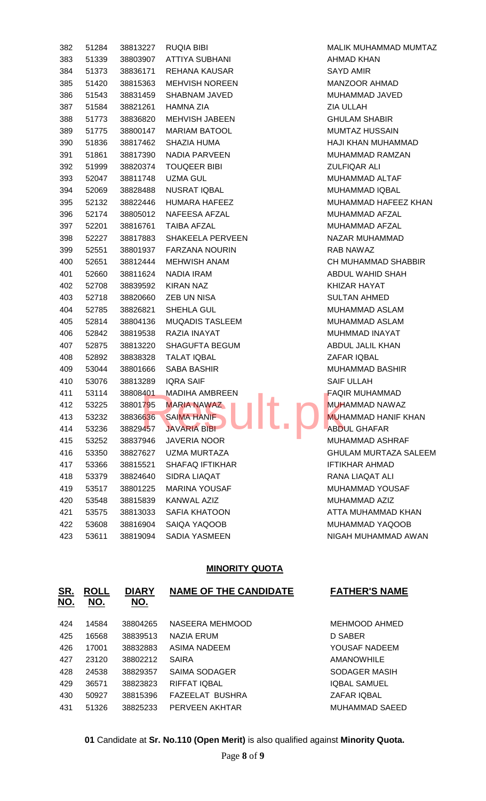| 382 | 51284 | 38813227 | <b>RUQIA BIBI</b>                                                   | <b>MALI</b>     |
|-----|-------|----------|---------------------------------------------------------------------|-----------------|
| 383 | 51339 | 38803907 | <b>ATTIYA SUBHANI</b>                                               | AHM.            |
| 384 | 51373 | 38836171 | REHANA KAUSAR                                                       | <b>SAYI</b>     |
| 385 | 51420 | 38815363 | <b>MEHVISH NOREEN</b>                                               | MAN.            |
| 386 | 51543 | 38831459 | SHABNAM JAVED                                                       | MUH             |
| 387 | 51584 | 38821261 | <b>HAMNA ZIA</b>                                                    | ZIA L           |
| 388 | 51773 | 38836820 | MEHVISH JABEEN                                                      | <b>GHU</b>      |
| 389 | 51775 | 38800147 | <b>MARIAM BATOOL</b>                                                | <b>MUM</b>      |
| 390 | 51836 | 38817462 | SHAZIA HUMA                                                         | <b>HAJI</b>     |
| 391 | 51861 | 38817390 | NADIA PARVEEN                                                       | <b>MUH</b>      |
| 392 | 51999 | 38820374 | <b>TOUQEER BIBI</b>                                                 | <b>ZULF</b>     |
| 393 | 52047 | 38811748 | <b>UZMA GUL</b>                                                     | <b>MUH</b>      |
| 394 | 52069 | 38828488 | NUSRAT IQBAL                                                        | <b>MUH</b>      |
| 395 | 52132 | 38822446 | HUMARA HAFEEZ                                                       | <b>MUH</b>      |
| 396 | 52174 | 38805012 | NAFEESA AFZAL                                                       | <b>MUH</b>      |
| 397 | 52201 | 38816761 | <b>TAIBA AFZAL</b>                                                  | <b>MUH</b>      |
| 398 | 52227 | 38817883 | <b>SHAKEELA PERVEEN</b>                                             | NAZ/            |
| 399 | 52551 | 38801937 | <b>FARZANA NOURIN</b>                                               | RAB             |
| 400 | 52651 | 38812444 | <b>MEHWISH ANAM</b>                                                 | CH <sub>N</sub> |
| 401 | 52660 | 38811624 | NADIA IRAM                                                          | <b>ABDI</b>     |
| 402 | 52708 | 38839592 | <b>KIRAN NAZ</b>                                                    | KHIZ            |
| 403 | 52718 | 38820660 | ZEB UN NISA                                                         | <b>SUL1</b>     |
| 404 | 52785 | 38826821 | SHEHLA GUL                                                          | <b>MUH</b>      |
| 405 | 52814 | 38804136 | <b>MUQADIS TASLEEM</b>                                              | <b>MUH</b>      |
| 406 | 52842 | 38819538 | RAZIA INAYAT                                                        | MUH             |
| 407 | 52875 | 38813220 | SHAGUFTA BEGUM                                                      | <b>ABDI</b>     |
| 408 | 52892 | 38838328 | <b>TALAT IQBAL</b>                                                  | ZAF/            |
| 409 | 53044 | 38801666 | SABA BASHIR                                                         | <b>MUH</b>      |
| 410 | 53076 | 38813289 | <b>IQRA SAIF</b>                                                    | <b>SAIF</b>     |
| 411 | 53114 | 38808401 | <b>MADIHA AMBREEN</b><br><b>Contract Contract Contract Contract</b> | FAQI            |
| 412 | 53225 | 38801795 | <b>MARIA NAWAZ</b>                                                  | <b>MUH</b>      |
| 413 | 53232 | 38836636 | <b>SAIMA HANIF</b>                                                  | <b>MUH</b>      |
| 414 | 53236 | 38829457 | <b>JAVARIA BIBI</b>                                                 | <b>ABDI</b>     |
| 415 | 53252 | 38837946 | <b>JAVERIA NOOR</b>                                                 | <b>MUH</b>      |
| 416 | 53350 | 38827627 | <b>UZMA MURTAZA</b>                                                 | <b>GHU</b>      |
| 417 | 53366 | 38815521 | <b>SHAFAQ IFTIKHAR</b>                                              | <b>IFTIK</b>    |
| 418 | 53379 | 38824640 | SIDRA LIAQAT                                                        | RAN             |
| 419 | 53517 | 38801225 | <b>MARINA YOUSAF</b>                                                | <b>MUH</b>      |
| 420 | 53548 | 38815839 | KANWAL AZIZ                                                         | <b>MUH</b>      |
| 421 | 53575 | 38813033 | <b>SAFIA KHATOON</b>                                                | ATTA            |
| 422 | 53608 | 38816904 | SAIQA YAQOOB                                                        | <b>MUH</b>      |
| 423 | 53611 | 38819094 | SADIA YASMEEN                                                       | <b>NIGA</b>     |

MALIK MUHAMMAD MUMTAZ AHMAD KHAN SAYD AMIR MANZOOR AHMAD MUHAMMAD JAVED **ZIA ULLAH GHULAM SHABIR** MUMTAZ HUSSAIN HAJI KHAN MUHAMMAD MUHAMMAD RAMZAN **ZULFIQAR ALI** MUHAMMAD ALTAF MUHAMMAD IQBAL MUHAMMAD HAFEEZ KHAN MUHAMMAD AFZAL MUHAMMAD AFZAL NAZAR MUHAMMAD RAB NAWAZ CH MUHAMMAD SHABBIR ABDUL WAHID SHAH KHIZAR HAYAT SULTAN AHMED MUHAMMAD ASLAM MUHAMMAD ASLAM MUHMMAD INAYAT ABDUL JALIL KHAN ZAFAR IQBAL MUHAMMAD BASHIR SAIF ULLAH FAQIR MUHAMMAD MUHAMMAD NAWAZ MUHAMMAD HANIF KHAN **ABDUL GHAFAR** MUHAMMAD ASHRAF GHULAM MURTAZA SALEEM IFTIKHAR AHMAD RANA LIAQAT ALI MUHAMMAD YOUSAF MUHAMMAD AZIZ ATTA MUHAMMAD KHAN MUHAMMAD YAQOOB NIGAH MUHAMMAD AWAN

#### **MINORITY QUOTA**

| <u>SR.</u><br><u>NO.</u> | <b>ROLL</b><br>NO. | <b>DIARY</b><br>NO. | <b>NAME OF THE CANDIDATE</b> | <b>FATHER'S NAME</b> |
|--------------------------|--------------------|---------------------|------------------------------|----------------------|
| 424                      | 14584              | 38804265            | NASEERA MEHMOOD              | MEHMOOD AHMED        |
| 425                      | 16568              | 38839513            | <b>NAZIA ERUM</b>            | D SABER              |
| 426                      | 17001              | 38832883            | <b>ASIMA NADEEM</b>          | YOUSAF NADEEM        |
| 427                      | 23120              | 38802212            | <b>SAIRA</b>                 | <b>AMANOWHILE</b>    |
| 428                      | 24538              | 38829357            | SAIMA SODAGER                | SODAGER MASIH        |
| 429                      | 36571              | 38823823            | RIFFAT IOBAL                 | <b>IQBAL SAMUEL</b>  |
| 430                      | 50927              | 38815396            | FAZEELAT BUSHRA              | <b>ZAFAR IQBAL</b>   |
| 431                      | 51326              | 38825233            | PERVEEN AKHTAR               | MUHAMMAD SAEED       |

**01** Candidate at **Sr. No.110 (Open Merit)** is also qualified against **Minority Quota.**